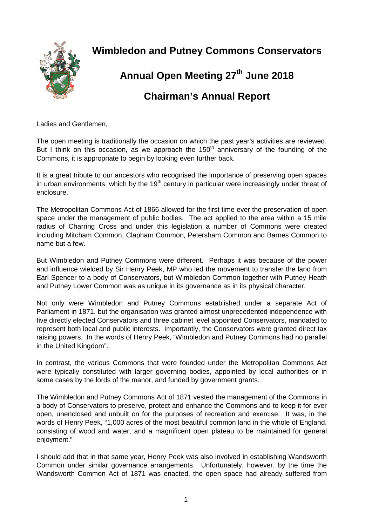

**Wimbledon and Putney Commons Conservators** 

## **Annual Open Meeting 27th June 2018 Chairman's Annual Report**

Ladies and Gentlemen,

The open meeting is traditionally the occasion on which the past year's activities are reviewed. But I think on this occasion, as we approach the  $150<sup>th</sup>$  anniversary of the founding of the Commons, it is appropriate to begin by looking even further back.

It is a great tribute to our ancestors who recognised the importance of preserving open spaces in urban environments, which by the  $19<sup>th</sup>$  century in particular were increasingly under threat of enclosure.

The Metropolitan Commons Act of 1866 allowed for the first time ever the preservation of open space under the management of public bodies. The act applied to the area within a 15 mile radius of Charring Cross and under this legislation a number of Commons were created including Mitcham Common, Clapham Common, Petersham Common and Barnes Common to name but a few.

But Wimbledon and Putney Commons were different. Perhaps it was because of the power and influence wielded by Sir Henry Peek, MP who led the movement to transfer the land from Earl Spencer to a body of Conservators, but Wimbledon Common together with Putney Heath and Putney Lower Common was as unique in its governance as in its physical character.

Not only were Wimbledon and Putney Commons established under a separate Act of Parliament in 1871, but the organisation was granted almost unprecedented independence with five directly elected Conservators and three cabinet level appointed Conservators, mandated to represent both local and public interests. Importantly, the Conservators were granted direct tax raising powers. In the words of Henry Peek, "Wimbledon and Putney Commons had no parallel in the United Kingdom".

In contrast, the various Commons that were founded under the Metropolitan Commons Act were typically constituted with larger governing bodies, appointed by local authorities or in some cases by the lords of the manor, and funded by government grants.

The Wimbledon and Putney Commons Act of 1871 vested the management of the Commons in a body of Conservators to preserve, protect and enhance the Commons and to keep it for ever open, unenclosed and unbuilt on for the purposes of recreation and exercise. It was, in the words of Henry Peek, "1,000 acres of the most beautiful common land in the whole of England, consisting of wood and water, and a magnificent open plateau to be maintained for general enjoyment."

I should add that in that same year, Henry Peek was also involved in establishing Wandsworth Common under similar governance arrangements. Unfortunately, however, by the time the Wandsworth Common Act of 1871 was enacted, the open space had already suffered from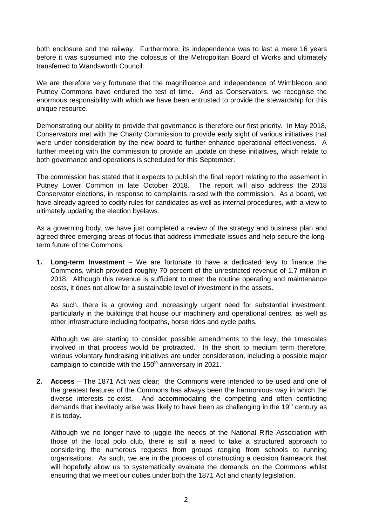both enclosure and the railway. Furthermore, its independence was to last a mere 16 years before it was subsumed into the colossus of the Metropolitan Board of Works and ultimately transferred to Wandsworth Council.

We are therefore very fortunate that the magnificence and independence of Wimbledon and Putney Commons have endured the test of time. And as Conservators, we recognise the enormous responsibility with which we have been entrusted to provide the stewardship for this unique resource.

Demonstrating our ability to provide that governance is therefore our first priority. In May 2018, Conservators met with the Charity Commission to provide early sight of various initiatives that were under consideration by the new board to further enhance operational effectiveness. A further meeting with the commission to provide an update on these initiatives, which relate to both governance and operations is scheduled for this September.

The commission has stated that it expects to publish the final report relating to the easement in Putney Lower Common in late October 2018. The report will also address the 2018 Conservator elections, in response to complaints raised with the commission. As a board, we have already agreed to codify rules for candidates as well as internal procedures, with a view to ultimately updating the election byelaws.

As a governing body, we have just completed a review of the strategy and business plan and agreed three emerging areas of focus that address immediate issues and help secure the longterm future of the Commons.

**1. Long-term Investment** – We are fortunate to have a dedicated levy to finance the Commons, which provided roughly 70 percent of the unrestricted revenue of 1.7 million in 2018. Although this revenue is sufficient to meet the routine operating and maintenance costs, it does not allow for a sustainable level of investment in the assets.

As such, there is a growing and increasingly urgent need for substantial investment, particularly in the buildings that house our machinery and operational centres, as well as other infrastructure including footpaths, horse rides and cycle paths.

Although we are starting to consider possible amendments to the levy, the timescales involved in that process would be protracted. In the short to medium term therefore, various voluntary fundraising initiatives are under consideration, including a possible major campaign to coincide with the  $150<sup>th</sup>$  anniversary in 2021.

**2. Access** – The 1871 Act was clear; the Commons were intended to be used and one of the greatest features of the Commons has always been the harmonious way in which the diverse interests co-exist. And accommodating the competing and often conflicting demands that inevitably arise was likely to have been as challenging in the 19<sup>th</sup> century as it is today.

Although we no longer have to juggle the needs of the National Rifle Association with those of the local polo club, there is still a need to take a structured approach to considering the numerous requests from groups ranging from schools to running organisations. As such, we are in the process of constructing a decision framework that will hopefully allow us to systematically evaluate the demands on the Commons whilst ensuring that we meet our duties under both the 1871 Act and charity legislation.